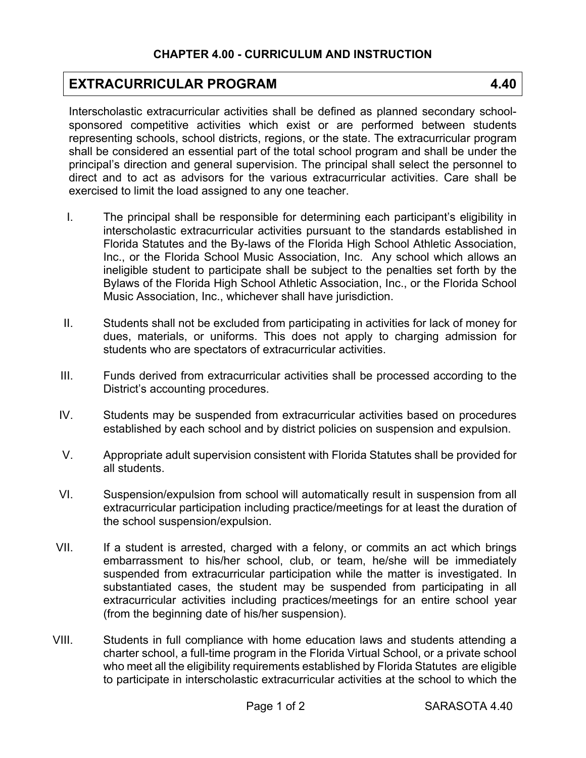## **EXTRACURRICULAR PROGRAM 4.40**

Interscholastic extracurricular activities shall be defined as planned secondary schoolsponsored competitive activities which exist or are performed between students representing schools, school districts, regions, or the state. The extracurricular program shall be considered an essential part of the total school program and shall be under the principal's direction and general supervision. The principal shall select the personnel to direct and to act as advisors for the various extracurricular activities. Care shall be exercised to limit the load assigned to any one teacher.

- I. The principal shall be responsible for determining each participant's eligibility in interscholastic extracurricular activities pursuant to the standards established in Florida Statutes and the By-laws of the Florida High School Athletic Association, Inc., or the Florida School Music Association, Inc. Any school which allows an ineligible student to participate shall be subject to the penalties set forth by the Bylaws of the Florida High School Athletic Association, Inc., or the Florida School Music Association, Inc., whichever shall have jurisdiction.
- II. Students shall not be excluded from participating in activities for lack of money for dues, materials, or uniforms. This does not apply to charging admission for students who are spectators of extracurricular activities.
- III. Funds derived from extracurricular activities shall be processed according to the District's accounting procedures.
- IV. Students may be suspended from extracurricular activities based on procedures established by each school and by district policies on suspension and expulsion.
- V. Appropriate adult supervision consistent with Florida Statutes shall be provided for all students.
- VI. Suspension/expulsion from school will automatically result in suspension from all extracurricular participation including practice/meetings for at least the duration of the school suspension/expulsion.
- VII. If a student is arrested, charged with a felony, or commits an act which brings embarrassment to his/her school, club, or team, he/she will be immediately suspended from extracurricular participation while the matter is investigated. In substantiated cases, the student may be suspended from participating in all extracurricular activities including practices/meetings for an entire school year (from the beginning date of his/her suspension).
- VIII. Students in full compliance with home education laws and students attending a charter school, a full-time program in the Florida Virtual School, or a private school who meet all the eligibility requirements established by Florida Statutes are eligible to participate in interscholastic extracurricular activities at the school to which the